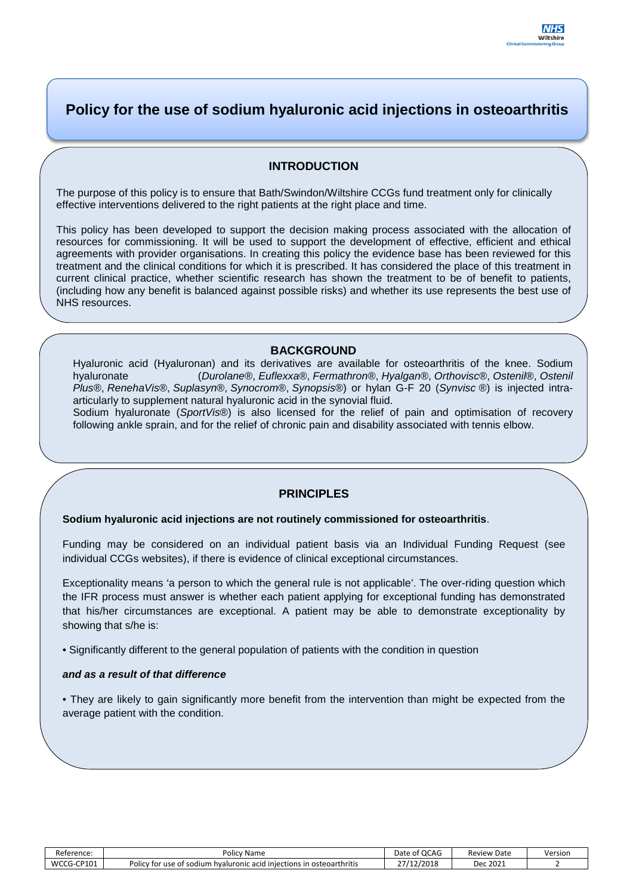# **Policy for the use of sodium hyaluronic acid injections in osteoarthritis**

## **INTRODUCTION**

The purpose of this policy is to ensure that Bath/Swindon/Wiltshire CCGs fund treatment only for clinically effective interventions delivered to the right patients at the right place and time.

This policy has been developed to support the decision making process associated with the allocation of resources for commissioning. It will be used to support the development of effective, efficient and ethical agreements with provider organisations. In creating this policy the evidence base has been reviewed for this treatment and the clinical conditions for which it is prescribed. It has considered the place of this treatment in current clinical practice, whether scientific research has shown the treatment to be of benefit to patients, (including how any benefit is balanced against possible risks) and whether its use represents the best use of NHS resources.

#### **BACKGROUND**

Hyaluronic acid (Hyaluronan) and its derivatives are available for osteoarthritis of the knee. Sodium hyaluronate (*Durolane*®, *Euflexxa*®, *Fermathron*®, *Hyalgan*®, *Orthovisc*®, *Ostenil*®, *Ostenil Plus*®, *RenehaVis*®, *Suplasyn*®, *Synocrom*®, *Synopsis*®) or hylan G-F 20 (*Synvisc* ®) is injected intraarticularly to supplement natural hyaluronic acid in the synovial fluid.

Sodium hyaluronate (*SportVis*®) is also licensed for the relief of pain and optimisation of recovery following ankle sprain, and for the relief of chronic pain and disability associated with tennis elbow.

#### **PRINCIPLES**

#### **Sodium hyaluronic acid injections are not routinely commissioned for osteoarthritis**.

Funding may be considered on an individual patient basis via an Individual Funding Request (see individual CCGs websites), if there is evidence of clinical exceptional circumstances.

Exceptionality means 'a person to which the general rule is not applicable'. The over-riding question which the IFR process must answer is whether each patient applying for exceptional funding has demonstrated that his/her circumstances are exceptional. A patient may be able to demonstrate exceptionality by showing that s/he is:

• Significantly different to the general population of patients with the condition in question

#### *and as a result of that difference*

• They are likely to gain significantly more benefit from the intervention than might be expected from the average patient with the condition.

| Reference:      | Policy Name                                                                         | Date of OCAG | Date<br>Review I | Version |
|-----------------|-------------------------------------------------------------------------------------|--------------|------------------|---------|
| WCCG-<br>-CP101 | Policy for use of<br>osteoarthritis<br>n hvaluronic acid iniections in i<br>:sodium | 27/12/2018   | Dec 2021         |         |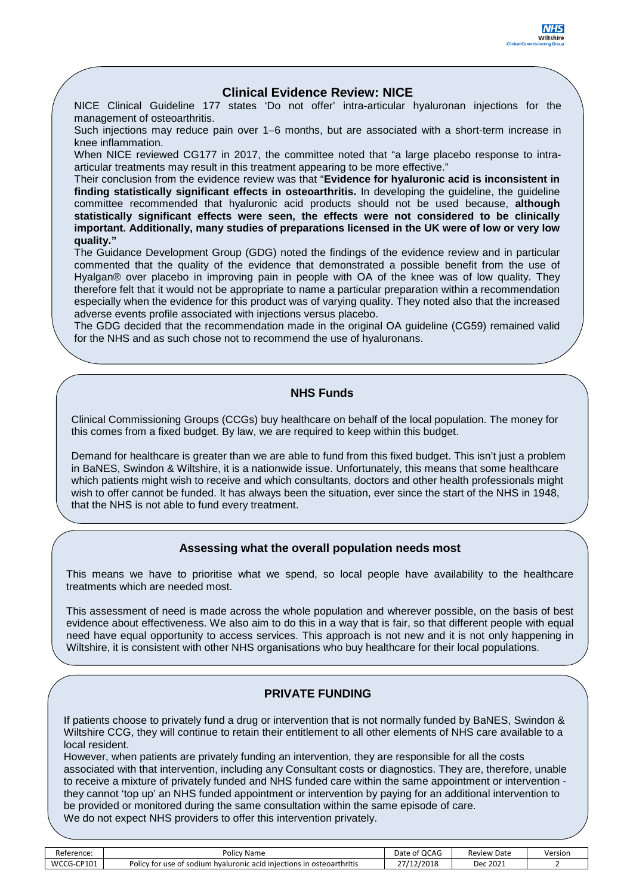### **Clinical Evidence Review: NICE**

NICE Clinical Guideline 177 states 'Do not offer' intra-articular hyaluronan injections for the management of osteoarthritis.

Such injections may reduce pain over 1–6 months, but are associated with a short-term increase in knee inflammation.

When NICE reviewed CG177 in 2017, the committee noted that "a large placebo response to intraarticular treatments may result in this treatment appearing to be more effective."

Their conclusion from the evidence review was that "**Evidence for hyaluronic acid is inconsistent in finding statistically significant effects in osteoarthritis.** In developing the guideline, the guideline committee recommended that hyaluronic acid products should not be used because, **although statistically significant effects were seen, the effects were not considered to be clinically important. Additionally, many studies of preparations licensed in the UK were of low or very low quality."**

The Guidance Development Group (GDG) noted the findings of the evidence review and in particular commented that the quality of the evidence that demonstrated a possible benefit from the use of Hyalgan<sup>®</sup> over placebo in improving pain in people with OA of the knee was of low quality. They therefore felt that it would not be appropriate to name a particular preparation within a recommendation especially when the evidence for this product was of varying quality. They noted also that the increased adverse events profile associated with injections versus placebo.

The GDG decided that the recommendation made in the original OA guideline (CG59) remained valid for the NHS and as such chose not to recommend the use of hyaluronans.

## **NHS Funds**

Clinical Commissioning Groups (CCGs) buy healthcare on behalf of the local population. The money for this comes from a fixed budget. By law, we are required to keep within this budget.

Demand for healthcare is greater than we are able to fund from this fixed budget. This isn't just a problem in BaNES, Swindon & Wiltshire, it is a nationwide issue. Unfortunately, this means that some healthcare which patients might wish to receive and which consultants, doctors and other health professionals might wish to offer cannot be funded. It has always been the situation, ever since the start of the NHS in 1948, that the NHS is not able to fund every treatment.

#### **Assessing what the overall population needs most**

This means we have to prioritise what we spend, so local people have availability to the healthcare treatments which are needed most.

This assessment of need is made across the whole population and wherever possible, on the basis of best evidence about effectiveness. We also aim to do this in a way that is fair, so that different people with equal need have equal opportunity to access services. This approach is not new and it is not only happening in Wiltshire, it is consistent with other NHS organisations who buy healthcare for their local populations.

### **PRIVATE FUNDING**

If patients choose to privately fund a drug or intervention that is not normally funded by BaNES, Swindon & Wiltshire CCG, they will continue to retain their entitlement to all other elements of NHS care available to a local resident.

However, when patients are privately funding an intervention, they are responsible for all the costs associated with that intervention, including any Consultant costs or diagnostics. They are, therefore, unable to receive a mixture of privately funded and NHS funded care within the same appointment or intervention they cannot 'top up' an NHS funded appointment or intervention by paying for an additional intervention to be provided or monitored during the same consultation within the same episode of care. We do not expect NHS providers to offer this intervention privately.

| Reference:                   | Policy<br>' Name                                                                    | Date of OCAG | Review<br><sup>1</sup> Date | Version |
|------------------------------|-------------------------------------------------------------------------------------|--------------|-----------------------------|---------|
| <b>WCCG</b><br>CP101<br>$-1$ | Policy for use<br>I iniections in osteoarthritis<br>e of sodium<br>⊦hvaluronic acid | 27/12/2018   | Dec 2021                    |         |